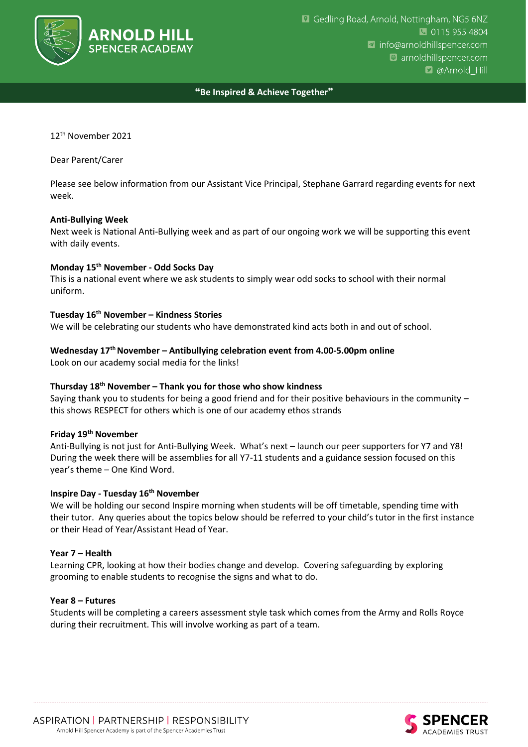

## ❝**Be Inspired & Achieve Together**❞

12th November 2021

Dear Parent/Carer

Please see below information from our Assistant Vice Principal, Stephane Garrard regarding events for next week.

#### **Anti-Bullying Week**

Next week is National Anti-Bullying week and as part of our ongoing work we will be supporting this event with daily events.

### **Monday 15 th November - Odd Socks Day**

This is a national event where we ask students to simply wear odd socks to school with their normal uniform.

# **Tuesday 16 th November – Kindness Stories**

We will be celebrating our students who have demonstrated kind acts both in and out of school.

# **Wednesday 17 thNovember – Antibullying celebration event from 4.00-5.00pm online**

Look on our academy social media for the links!

# **Thursday 18 th November – Thank you for those who show kindness**

Saying thank you to students for being a good friend and for their positive behaviours in the community – this shows RESPECT for others which is one of our academy ethos strands

# **Friday 19 th November**

Anti-Bullying is not just for Anti-Bullying Week. What's next – launch our peer supporters for Y7 and Y8! During the week there will be assemblies for all Y7-11 students and a guidance session focused on this year's theme – One Kind Word.

### **Inspire Day - Tuesday 16 th November**

We will be holding our second Inspire morning when students will be off timetable, spending time with their tutor. Any queries about the topics below should be referred to your child's tutor in the first instance or their Head of Year/Assistant Head of Year.

#### **Year 7 – Health**

Learning CPR, looking at how their bodies change and develop. Covering safeguarding by exploring grooming to enable students to recognise the signs and what to do.

#### **Year 8 – Futures**

Students will be completing a careers assessment style task which comes from the Army and Rolls Royce during their recruitment. This will involve working as part of a team.